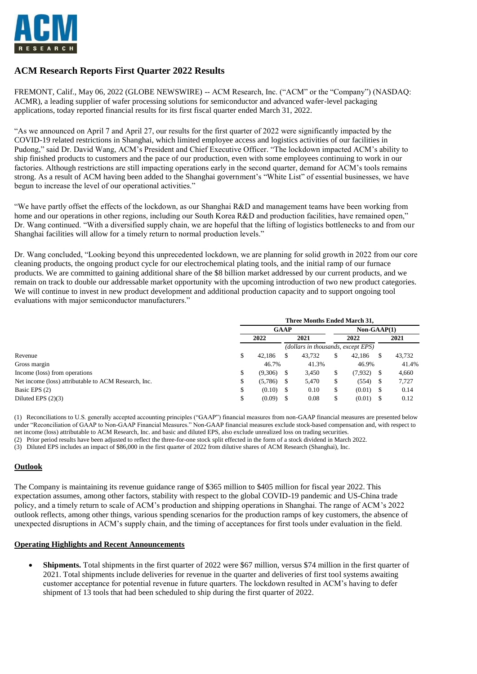

# **ACM Research Reports First Quarter 2022 Results**

FREMONT, Calif., May 06, 2022 (GLOBE NEWSWIRE) -- ACM Research, Inc. ("ACM" or the "Company") (NASDAQ: ACMR), a leading supplier of wafer processing solutions for semiconductor and advanced wafer-level packaging applications, today reported financial results for its first fiscal quarter ended March 31, 2022.

"As we announced on April 7 and April 27, our results for the first quarter of 2022 were significantly impacted by the COVID-19 related restrictions in Shanghai, which limited employee access and logistics activities of our facilities in Pudong," said Dr. David Wang, ACM's President and Chief Executive Officer. "The lockdown impacted ACM's ability to ship finished products to customers and the pace of our production, even with some employees continuing to work in our factories. Although restrictions are still impacting operations early in the second quarter, demand for ACM's tools remains strong. As a result of ACM having been added to the Shanghai government's "White List" of essential businesses, we have begun to increase the level of our operational activities."

"We have partly offset the effects of the lockdown, as our Shanghai R&D and management teams have been working from home and our operations in other regions, including our South Korea R&D and production facilities, have remained open," Dr. Wang continued. "With a diversified supply chain, we are hopeful that the lifting of logistics bottlenecks to and from our Shanghai facilities will allow for a timely return to normal production levels."

Dr. Wang concluded, "Looking beyond this unprecedented lockdown, we are planning for solid growth in 2022 from our core cleaning products, the ongoing product cycle for our electrochemical plating tools, and the initial ramp of our furnace products. We are committed to gaining additional share of the \$8 billion market addressed by our current products, and we remain on track to double our addressable market opportunity with the upcoming introduction of two new product categories. We will continue to invest in new product development and additional production capacity and to support ongoing tool evaluations with major semiconductor manufacturers."

|                                                      |             | Three Months Ended March 31.       |              |        |   |               |      |        |  |  |  |
|------------------------------------------------------|-------------|------------------------------------|--------------|--------|---|---------------|------|--------|--|--|--|
|                                                      | <b>GAAP</b> |                                    |              |        |   | $Non-GAAP(1)$ |      |        |  |  |  |
|                                                      | 2022        |                                    |              | 2021   |   | 2022          |      | 2021   |  |  |  |
|                                                      |             | (dollars in thousands, except EPS) |              |        |   |               |      |        |  |  |  |
| Revenue                                              | \$          | 42,186                             | S            | 43,732 |   | 42,186        | £.   | 43,732 |  |  |  |
| Gross margin                                         |             | 46.7%                              |              | 41.3%  |   | 46.9%         |      | 41.4%  |  |  |  |
| Income (loss) from operations                        | ъ           | (9,306)                            | S            | 3,450  | S | (7,932)       | -S   | 4,660  |  |  |  |
| Net income (loss) attributable to ACM Research, Inc. | \$          | (5,786)                            | S            | 5,470  | S | (554)         | -S   | 7,727  |  |  |  |
| Basic EPS (2)                                        | \$          | (0.10)                             | - \$         | 0.10   | S | (0.01)        | - \$ | 0.14   |  |  |  |
| Diluted EPS $(2)(3)$                                 |             | (0.09)                             | <sup>S</sup> | 0.08   |   | (0.01)        |      | 0.12   |  |  |  |

(1) Reconciliations to U.S. generally accepted accounting principles ("GAAP") financial measures from non-GAAP financial measures are presented below under "Reconciliation of GAAP to Non-GAAP Financial Measures." Non-GAAP financial measures exclude stock-based compensation and, with respect to net income (loss) attributable to ACM Research, Inc. and basic and diluted EPS, also exclude unrealized loss on trading securities.

(2) Prior period results have been adjusted to reflect the three-for-one stock split effected in the form of a stock dividend in March 2022.

(3) Diluted EPS includes an impact of \$86,000 in the first quarter of 2022 from dilutive shares of ACM Research (Shanghai), Inc.

### **Outlook**

The Company is maintaining its revenue guidance range of \$365 million to \$405 million for fiscal year 2022. This expectation assumes, among other factors, stability with respect to the global COVID-19 pandemic and US-China trade policy, and a timely return to scale of ACM's production and shipping operations in Shanghai. The range of ACM's 2022 outlook reflects, among other things, various spending scenarios for the production ramps of key customers, the absence of unexpected disruptions in ACM's supply chain, and the timing of acceptances for first tools under evaluation in the field.

#### **Operating Highlights and Recent Announcements**

 **Shipments.** Total shipments in the first quarter of 2022 were \$67 million, versus \$74 million in the first quarter of 2021. Total shipments include deliveries for revenue in the quarter and deliveries of first tool systems awaiting customer acceptance for potential revenue in future quarters. The lockdown resulted in ACM's having to defer shipment of 13 tools that had been scheduled to ship during the first quarter of 2022.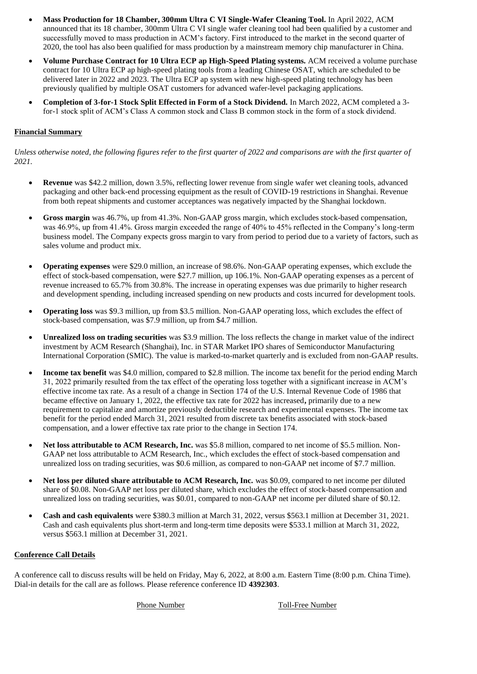- **Mass Production for 18 Chamber, 300mm Ultra C VI Single-Wafer Cleaning Tool.** In April 2022, ACM announced that its 18 chamber, 300mm Ultra C VI single wafer cleaning tool had been qualified by a customer and successfully moved to mass production in ACM's factory. First introduced to the market in the second quarter of 2020, the tool has also been qualified for mass production by a mainstream memory chip manufacturer in China.
- **Volume Purchase Contract for 10 Ultra ECP ap High-Speed Plating systems.** ACM received a volume purchase contract for 10 Ultra ECP ap high-speed plating tools from a leading Chinese OSAT, which are scheduled to be delivered later in 2022 and 2023. The Ultra ECP ap system with new high-speed plating technology has been previously qualified by multiple OSAT customers for advanced wafer-level packaging applications.
- **Completion of 3-for-1 Stock Split Effected in Form of a Stock Dividend.** In March 2022, ACM completed a 3 for-1 stock split of ACM's Class A common stock and Class B common stock in the form of a stock dividend.

### **Financial Summary**

*Unless otherwise noted, the following figures refer to the first quarter of 2022 and comparisons are with the first quarter of 2021.*

- **Revenue** was \$42.2 million, down 3.5%, reflecting lower revenue from single wafer wet cleaning tools, advanced packaging and other back-end processing equipment as the result of COVID-19 restrictions in Shanghai. Revenue from both repeat shipments and customer acceptances was negatively impacted by the Shanghai lockdown.
- **Gross margin** was 46.7%, up from 41.3%. Non-GAAP gross margin, which excludes stock-based compensation, was 46.9%, up from 41.4%. Gross margin exceeded the range of 40% to 45% reflected in the Company's long-term business model. The Company expects gross margin to vary from period to period due to a variety of factors, such as sales volume and product mix.
- **Operating expenses** were \$29.0 million, an increase of 98.6%. Non-GAAP operating expenses, which exclude the effect of stock-based compensation, were \$27.7 million, up 106.1%. Non-GAAP operating expenses as a percent of revenue increased to 65.7% from 30.8%. The increase in operating expenses was due primarily to higher research and development spending, including increased spending on new products and costs incurred for development tools.
- **Operating loss** was \$9.3 million, up from \$3.5 million. Non-GAAP operating loss, which excludes the effect of stock-based compensation, was \$7.9 million, up from \$4.7 million.
- **Unrealized loss on trading securities** was \$3.9 million. The loss reflects the change in market value of the indirect investment by ACM Research (Shanghai), Inc. in STAR Market IPO shares of Semiconductor Manufacturing International Corporation (SMIC). The value is marked-to-market quarterly and is excluded from non-GAAP results.
- **Income tax benefit** was \$4.0 million, compared to \$2.8 million. The income tax benefit for the period ending March 31, 2022 primarily resulted from the tax effect of the operating loss together with a significant increase in ACM's effective income tax rate. As a result of a change in Section 174 of the U.S. Internal Revenue Code of 1986 that became effective on January 1, 2022, the effective tax rate for 2022 has increased**,** primarily due to a new requirement to capitalize and amortize previously deductible research and experimental expenses. The income tax benefit for the period ended March 31, 2021 resulted from discrete tax benefits associated with stock-based compensation, and a lower effective tax rate prior to the change in Section 174.
- **Net loss attributable to ACM Research, Inc.** was \$5.8 million, compared to net income of \$5.5 million. Non-GAAP net loss attributable to ACM Research, Inc., which excludes the effect of stock-based compensation and unrealized loss on trading securities, was \$0.6 million, as compared to non-GAAP net income of \$7.7 million.
- **Net loss per diluted share attributable to ACM Research, Inc.** was \$0.09, compared to net income per diluted share of \$0.08. Non-GAAP net loss per diluted share, which excludes the effect of stock-based compensation and unrealized loss on trading securities, was \$0.01, compared to non-GAAP net income per diluted share of \$0.12.
- **Cash and cash equivalents** were \$380.3 million at March 31, 2022, versus \$563.1 million at December 31, 2021. Cash and cash equivalents plus short-term and long-term time deposits were \$533.1 million at March 31, 2022, versus \$563.1 million at December 31, 2021.

#### **Conference Call Details**

A conference call to discuss results will be held on Friday, May 6, 2022, at 8:00 a.m. Eastern Time (8:00 p.m. China Time). Dial-in details for the call are as follows. Please reference conference ID **4392303**.

Phone Number Toll-Free Number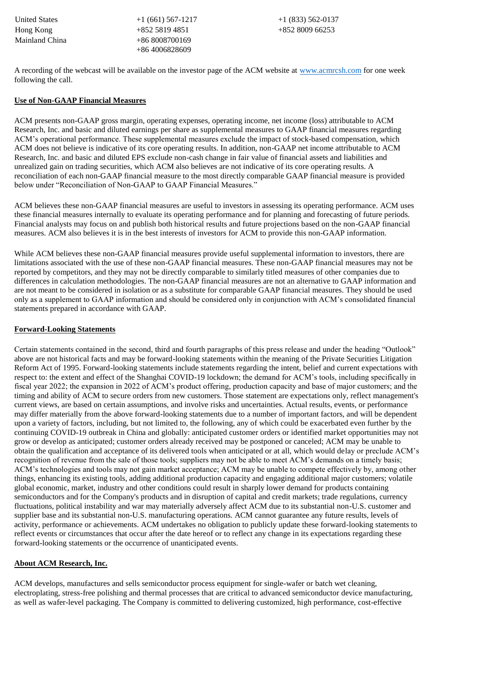A recording of the webcast will be available on the investor page of the ACM website at [www.acmrcsh.com](http://www.acmrcsh.com/) for one week following the call.

#### **Use of Non-GAAP Financial Measures**

ACM presents non-GAAP gross margin, operating expenses, operating income, net income (loss) attributable to ACM Research, Inc. and basic and diluted earnings per share as supplemental measures to GAAP financial measures regarding ACM's operational performance. These supplemental measures exclude the impact of stock-based compensation, which ACM does not believe is indicative of its core operating results. In addition, non-GAAP net income attributable to ACM Research, Inc. and basic and diluted EPS exclude non-cash change in fair value of financial assets and liabilities and unrealized gain on trading securities, which ACM also believes are not indicative of its core operating results. A reconciliation of each non-GAAP financial measure to the most directly comparable GAAP financial measure is provided below under "Reconciliation of Non-GAAP to GAAP Financial Measures."

ACM believes these non-GAAP financial measures are useful to investors in assessing its operating performance. ACM uses these financial measures internally to evaluate its operating performance and for planning and forecasting of future periods. Financial analysts may focus on and publish both historical results and future projections based on the non-GAAP financial measures. ACM also believes it is in the best interests of investors for ACM to provide this non-GAAP information.

While ACM believes these non-GAAP financial measures provide useful supplemental information to investors, there are limitations associated with the use of these non-GAAP financial measures. These non-GAAP financial measures may not be reported by competitors, and they may not be directly comparable to similarly titled measures of other companies due to differences in calculation methodologies. The non-GAAP financial measures are not an alternative to GAAP information and are not meant to be considered in isolation or as a substitute for comparable GAAP financial measures. They should be used only as a supplement to GAAP information and should be considered only in conjunction with ACM's consolidated financial statements prepared in accordance with GAAP.

### **Forward-Looking Statements**

Certain statements contained in the second, third and fourth paragraphs of this press release and under the heading "Outlook" above are not historical facts and may be forward-looking statements within the meaning of the Private Securities Litigation Reform Act of 1995. Forward-looking statements include statements regarding the intent, belief and current expectations with respect to: the extent and effect of the Shanghai COVID-19 lockdown; the demand for ACM's tools, including specifically in fiscal year 2022; the expansion in 2022 of ACM's product offering, production capacity and base of major customers; and the timing and ability of ACM to secure orders from new customers. Those statement are expectations only, reflect management's current views, are based on certain assumptions, and involve risks and uncertainties. Actual results, events, or performance may differ materially from the above forward-looking statements due to a number of important factors, and will be dependent upon a variety of factors, including, but not limited to, the following, any of which could be exacerbated even further by the continuing COVID-19 outbreak in China and globally: anticipated customer orders or identified market opportunities may not grow or develop as anticipated; customer orders already received may be postponed or canceled; ACM may be unable to obtain the qualification and acceptance of its delivered tools when anticipated or at all, which would delay or preclude ACM's recognition of revenue from the sale of those tools; suppliers may not be able to meet ACM's demands on a timely basis; ACM's technologies and tools may not gain market acceptance; ACM may be unable to compete effectively by, among other things, enhancing its existing tools, adding additional production capacity and engaging additional major customers; volatile global economic, market, industry and other conditions could result in sharply lower demand for products containing semiconductors and for the Company's products and in disruption of capital and credit markets; trade regulations, currency fluctuations, political instability and war may materially adversely affect ACM due to its substantial non-U.S. customer and supplier base and its substantial non-U.S. manufacturing operations. ACM cannot guarantee any future results, levels of activity, performance or achievements. ACM undertakes no obligation to publicly update these forward-looking statements to reflect events or circumstances that occur after the date hereof or to reflect any change in its expectations regarding these forward-looking statements or the occurrence of unanticipated events.

#### **About ACM Research, Inc.**

ACM develops, manufactures and sells semiconductor process equipment for single-wafer or batch wet cleaning, electroplating, stress-free polishing and thermal processes that are critical to advanced semiconductor device manufacturing, as well as wafer-level packaging. The Company is committed to delivering customized, high performance, cost-effective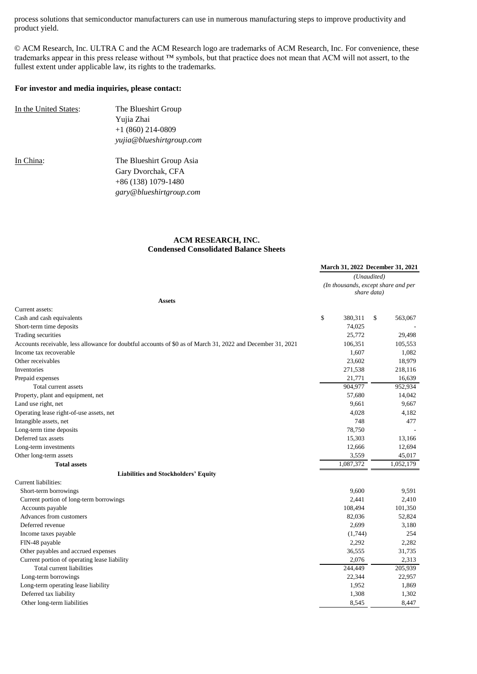process solutions that semiconductor manufacturers can use in numerous manufacturing steps to improve productivity and product yield.

© ACM Research, Inc. ULTRA C and the ACM Research logo are trademarks of ACM Research, Inc. For convenience, these trademarks appear in this press release without ™ symbols, but that practice does not mean that ACM will not assert, to the fullest extent under applicable law, its rights to the trademarks.

#### **For investor and media inquiries, please contact:**

| In the United States: | The Blueshirt Group<br>Yujia Zhai<br>$+1$ (860) 214-0809<br>yujia@blueshirtgroup.com             |
|-----------------------|--------------------------------------------------------------------------------------------------|
| In China:             | The Blueshirt Group Asia<br>Gary Dvorchak, CFA<br>$+86(138)1079-1480$<br>gary@blueshirtgroup.com |

Current assets:

Current liabilities:

#### **ACM RESEARCH, INC. Condensed Consolidated Balance Sheets**

**March 31, 2022 December 31, 2021** *(Unaudited) (In thousands, except share and per share data)* **Assets** Cash and cash equivalents **6.8.1.2.1.2.1.2.1.2.1.2.1.2.1.2.1.3.2.1.3.2.1.3.2.1.3.2.1.3.2.1.3.2.1.3.2.1.3.2.1.3.2.1.3.2.1.3.2.1.3.2.1.3.2.1.3.2.1.3.2.1.3.2.1.3.2.1.3.2.1.3.2.1.3.2.1.3.2.1.3.2.1.3.2.1.3.2.1.3.2.1.3.2.1.3.2.1** Short-term time deposits 74,025 Trading securities 29,498 Accounts receivable, less allowance for doubtful accounts of \$0 as of March 31, 2022 and December 31, 2021 106,351 105,553 Income tax recoverable 1,607 1,082 Other receivables 23,602 18,979 Inventories 271,538 218,116 Prepaid expenses 21,771 16,639 Total current assets 904,977 952,934 Property, plant and equipment, net  $57,680$  14,042 Land use right, net 9,667 9,661 9,667 Operating lease right-of-use assets, net 4,028 4,182 Intangible assets, net 477 Long-term time deposits 78,750  $\frac{1}{2}$ Deferred tax assets 15,303 13,166 Long-term investments 12,694 12,694 Other long-term assets 45,017 **Total assets** 1,087,372 1,052,179 **Liabilities and Stockholders' Equity** Short-term borrowings 9,600 9,591 Current portion of long-term borrowings 2,441 2,410 Accounts payable 101,350 Advances from customers 82,036 52,824 Deferred revenue 2,699 3,180 Income taxes payable 254 FIN-48 payable 2,282 2,282 Other payables and accrued expenses 31,735 31,735 Current portion of operating lease liability 2,076 2,313 Total current liabilities 244,449 205,939 Long-term borrowings 22,344 22,957

Long-term operating lease liability 1,952 1,869 Deferred tax liability and the state of the state of the state of the state of the state of the state of the state of the state of the state of the state of the state of the state of the state of the state of the state of Other long-term liabilities 8,545 8,447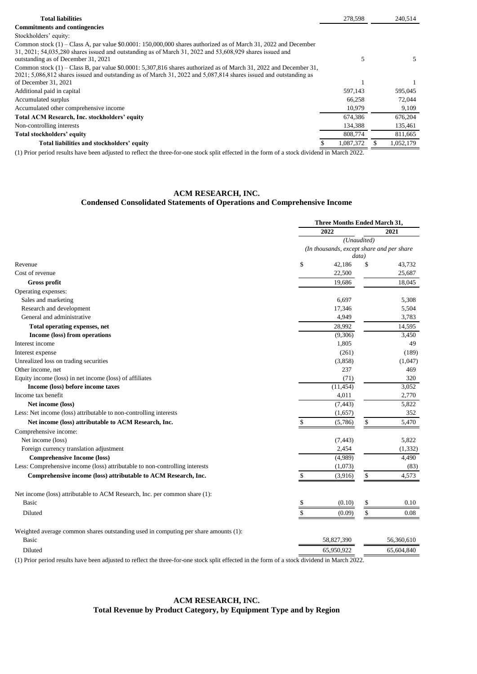| <b>Total liabilities</b>                                                                                                                                                                                                                                             | 278,598   | 240,514   |
|----------------------------------------------------------------------------------------------------------------------------------------------------------------------------------------------------------------------------------------------------------------------|-----------|-----------|
| <b>Commitments and contingencies</b>                                                                                                                                                                                                                                 |           |           |
| Stockholders' equity:                                                                                                                                                                                                                                                |           |           |
| Common stock $(1)$ – Class A, par value \$0.0001: 150,000,000 shares authorized as of March 31, 2022 and December<br>31, 2021; 54,035,280 shares issued and outstanding as of March 31, 2022 and 53,608,929 shares issued and<br>outstanding as of December 31, 2021 | 5         | 5.        |
| Common stock $(1)$ – Class B, par value \$0.0001: 5,307,816 shares authorized as of March 31, 2022 and December 31,<br>2021; 5,086,812 shares issued and outstanding as of March 31, 2022 and 5,087,814 shares issued and outstanding as                             |           |           |
| of December 31, 2021                                                                                                                                                                                                                                                 |           |           |
| Additional paid in capital                                                                                                                                                                                                                                           | 597,143   | 595,045   |
| Accumulated surplus                                                                                                                                                                                                                                                  | 66,258    | 72,044    |
| Accumulated other comprehensive income                                                                                                                                                                                                                               | 10,979    | 9,109     |
| Total ACM Research, Inc. stockholders' equity                                                                                                                                                                                                                        | 674.386   | 676,204   |
| Non-controlling interests                                                                                                                                                                                                                                            | 134,388   | 135,461   |
| Total stockholders' equity                                                                                                                                                                                                                                           | 808,774   | 811,665   |
| Total liabilities and stockholders' equity                                                                                                                                                                                                                           | 1,087,372 | 1,052,179 |
| (1) Prior period results have been adjusted to reflect the three-for-one stock split effected in the form of a stock dividend in March 2022.                                                                                                                         |           |           |

### **ACM RESEARCH, INC.**

## **Condensed Consolidated Statements of Operations and Comprehensive Income**

|                                                                                                              |                                                    | Three Months Ended March 31, |             |            |  |  |  |
|--------------------------------------------------------------------------------------------------------------|----------------------------------------------------|------------------------------|-------------|------------|--|--|--|
|                                                                                                              |                                                    | 2022                         |             | 2021       |  |  |  |
|                                                                                                              |                                                    |                              | (Unaudited) |            |  |  |  |
|                                                                                                              | (In thousands, except share and per share<br>data) |                              |             |            |  |  |  |
| Revenue                                                                                                      | \$                                                 | 42,186                       | \$          | 43,732     |  |  |  |
| Cost of revenue                                                                                              |                                                    | 22,500                       |             | 25,687     |  |  |  |
| Gross profit                                                                                                 |                                                    | 19,686                       |             | 18,045     |  |  |  |
| Operating expenses:                                                                                          |                                                    |                              |             |            |  |  |  |
| Sales and marketing                                                                                          |                                                    | 6,697                        |             | 5,308      |  |  |  |
| Research and development                                                                                     |                                                    | 17,346                       |             | 5,504      |  |  |  |
| General and administrative                                                                                   |                                                    | 4,949                        |             | 3.783      |  |  |  |
| Total operating expenses, net                                                                                |                                                    | 28,992                       |             | 14,595     |  |  |  |
| Income (loss) from operations                                                                                |                                                    | (9,306)                      |             | 3,450      |  |  |  |
| Interest income                                                                                              |                                                    | 1,805                        |             | 49         |  |  |  |
| Interest expense                                                                                             |                                                    | (261)                        |             | (189)      |  |  |  |
| Unrealized loss on trading securities                                                                        |                                                    | (3,858)                      |             | (1,047)    |  |  |  |
| Other income, net                                                                                            |                                                    | 237                          |             | 469        |  |  |  |
| Equity income (loss) in net income (loss) of affiliates                                                      |                                                    | (71)                         |             | 320        |  |  |  |
| Income (loss) before income taxes                                                                            |                                                    | (11, 454)                    |             | 3,052      |  |  |  |
| Income tax benefit                                                                                           |                                                    | 4,011                        |             | 2,770      |  |  |  |
| Net income (loss)                                                                                            |                                                    | (7, 443)                     |             | 5,822      |  |  |  |
| Less: Net income (loss) attributable to non-controlling interests                                            |                                                    | (1,657)                      |             | 352        |  |  |  |
| Net income (loss) attributable to ACM Research, Inc.                                                         | \$                                                 | (5,786)                      | \$          | 5,470      |  |  |  |
| Comprehensive income:                                                                                        |                                                    |                              |             |            |  |  |  |
| Net income (loss)                                                                                            |                                                    | (7, 443)                     |             | 5,822      |  |  |  |
| Foreign currency translation adjustment                                                                      |                                                    | 2,454                        |             | (1, 332)   |  |  |  |
| <b>Comprehensive Income (loss)</b>                                                                           |                                                    | (4,989)                      |             | 4,490      |  |  |  |
| Less: Comprehensive income (loss) attributable to non-controlling interests                                  |                                                    | (1,073)                      |             | (83)       |  |  |  |
| Comprehensive income (loss) attributable to ACM Research, Inc.                                               | \$                                                 | (3,916)                      | \$          | 4,573      |  |  |  |
| Net income (loss) attributable to ACM Research, Inc. per common share (1):                                   |                                                    |                              |             |            |  |  |  |
| <b>Basic</b>                                                                                                 | \$                                                 | (0.10)                       | \$          | 0.10       |  |  |  |
| Diluted                                                                                                      | \$                                                 | (0.09)                       | \$          | 0.08       |  |  |  |
| Weighted average common shares outstanding used in computing per share amounts (1):<br><b>Basic</b>          |                                                    | 58,827,390                   |             | 56,360,610 |  |  |  |
| Diluted                                                                                                      |                                                    | 65,950,922                   |             | 65,604,840 |  |  |  |
| (1) Prior period results have been edivered to reflect the three for one steak split effected in the form of |                                                    | dividend in March 202        |             |            |  |  |  |

(1) Prior period results have been adjusted to reflect the three-for-one stock split effected in the form of a stock dividend in March 2022.

### **ACM RESEARCH, INC. Total Revenue by Product Category, by Equipment Type and by Region**